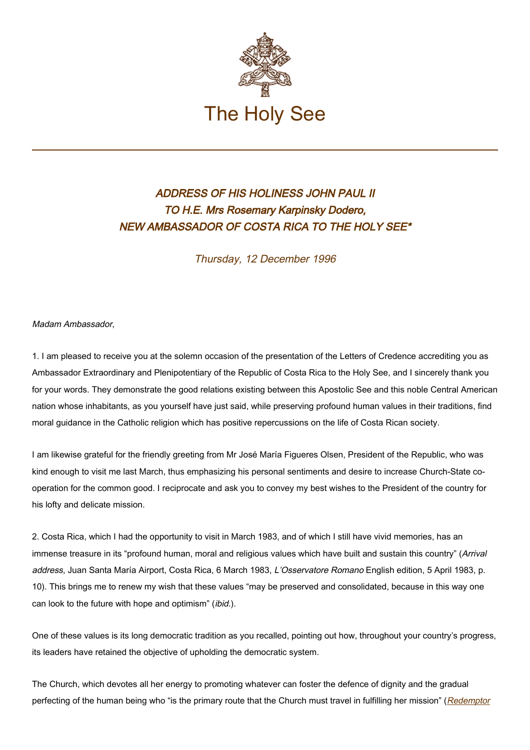

## ADDRESS OF HIS HOLINESS JOHN PAUL II TO H.E. Mrs Rosemary Karpinsky Dodero, NEW AMBASSADOR OF COSTA RICA TO THE HOLY SEE\*

Thursday, 12 December 1996

Madam Ambassador,

1. I am pleased to receive you at the solemn occasion of the presentation of the Letters of Credence accrediting you as Ambassador Extraordinary and Plenipotentiary of the Republic of Costa Rica to the Holy See, and I sincerely thank you for your words. They demonstrate the good relations existing between this Apostolic See and this noble Central American nation whose inhabitants, as you yourself have just said, while preserving profound human values in their traditions, find moral guidance in the Catholic religion which has positive repercussions on the life of Costa Rican society.

I am likewise grateful for the friendly greeting from Mr José María Figueres Olsen, President of the Republic, who was kind enough to visit me last March, thus emphasizing his personal sentiments and desire to increase Church-State cooperation for the common good. I reciprocate and ask you to convey my best wishes to the President of the country for his lofty and delicate mission.

2. Costa Rica, which I had the opportunity to visit in March 1983, and of which I still have vivid memories, has an immense treasure in its "profound human, moral and religious values which have built and sustain this country" (Arrival address, Juan Santa María Airport, Costa Rica, 6 March 1983, L'Osservatore Romano English edition, 5 April 1983, p. 10). This brings me to renew my wish that these values "may be preserved and consolidated, because in this way one can look to the future with hope and optimism" (ibid.).

One of these values is its long democratic tradition as you recalled, pointing out how, throughout your country's progress, its leaders have retained the objective of upholding the democratic system.

The Church, which devotes all her energy to promoting whatever can foster the defence of dignity and the gradual perfecting of the human being who "is the primary route that the Church must travel in fulfilling her mission" (Redemptor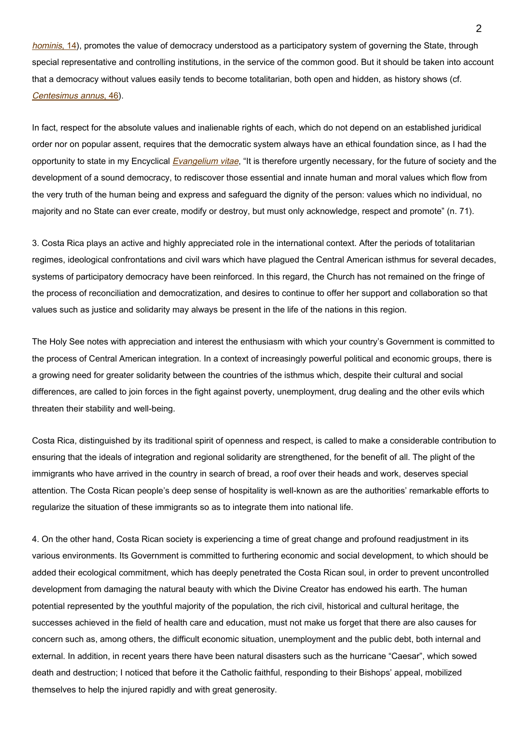hominis[, 14\)](http://www.vatican.va/edocs/ENG0218/__PF.HTM), promotes the value of democracy understood as a participatory system of governing the State, through special representative and controlling institutions, in the service of the common good. But it should be taken into account that a democracy without values easily tends to become totalitarian, both open and hidden, as history shows (cf. Centesimus annus[, 46\)](http://www.vatican.va/edocs/ENG0214/__P7.HTM).

In fact, respect for the absolute values and inalienable rights of each, which do not depend on an established juridical order nor on popular assent, requires that the democratic system always have an ethical foundation since, as I had the opportunity to state in my Encyclical [Evangelium vitae](https://www.vatican.va/content/john-paul-ii/en/encyclicals/documents/hf_jp-ii_enc_25031995_evangelium-vitae.html), "It is therefore urgently necessary, for the future of society and the development of a sound democracy, to rediscover those essential and innate human and moral values which flow from the very truth of the human being and express and safeguard the dignity of the person: values which no individual, no majority and no State can ever create, modify or destroy, but must only acknowledge, respect and promote" (n. 71).

3. Costa Rica plays an active and highly appreciated role in the international context. After the periods of totalitarian regimes, ideological confrontations and civil wars which have plagued the Central American isthmus for several decades, systems of participatory democracy have been reinforced. In this regard, the Church has not remained on the fringe of the process of reconciliation and democratization, and desires to continue to offer her support and collaboration so that values such as justice and solidarity may always be present in the life of the nations in this region.

The Holy See notes with appreciation and interest the enthusiasm with which your country's Government is committed to the process of Central American integration. In a context of increasingly powerful political and economic groups, there is a growing need for greater solidarity between the countries of the isthmus which, despite their cultural and social differences, are called to join forces in the fight against poverty, unemployment, drug dealing and the other evils which threaten their stability and well-being.

Costa Rica, distinguished by its traditional spirit of openness and respect, is called to make a considerable contribution to ensuring that the ideals of integration and regional solidarity are strengthened, for the benefit of all. The plight of the immigrants who have arrived in the country in search of bread, a roof over their heads and work, deserves special attention. The Costa Rican people's deep sense of hospitality is well-known as are the authorities' remarkable efforts to regularize the situation of these immigrants so as to integrate them into national life.

4. On the other hand, Costa Rican society is experiencing a time of great change and profound readjustment in its various environments. Its Government is committed to furthering economic and social development, to which should be added their ecological commitment, which has deeply penetrated the Costa Rican soul, in order to prevent uncontrolled development from damaging the natural beauty with which the Divine Creator has endowed his earth. The human potential represented by the youthful majority of the population, the rich civil, historical and cultural heritage, the successes achieved in the field of health care and education, must not make us forget that there are also causes for concern such as, among others, the difficult economic situation, unemployment and the public debt, both internal and external. In addition, in recent years there have been natural disasters such as the hurricane "Caesar", which sowed death and destruction; I noticed that before it the Catholic faithful, responding to their Bishops' appeal, mobilized themselves to help the injured rapidly and with great generosity.